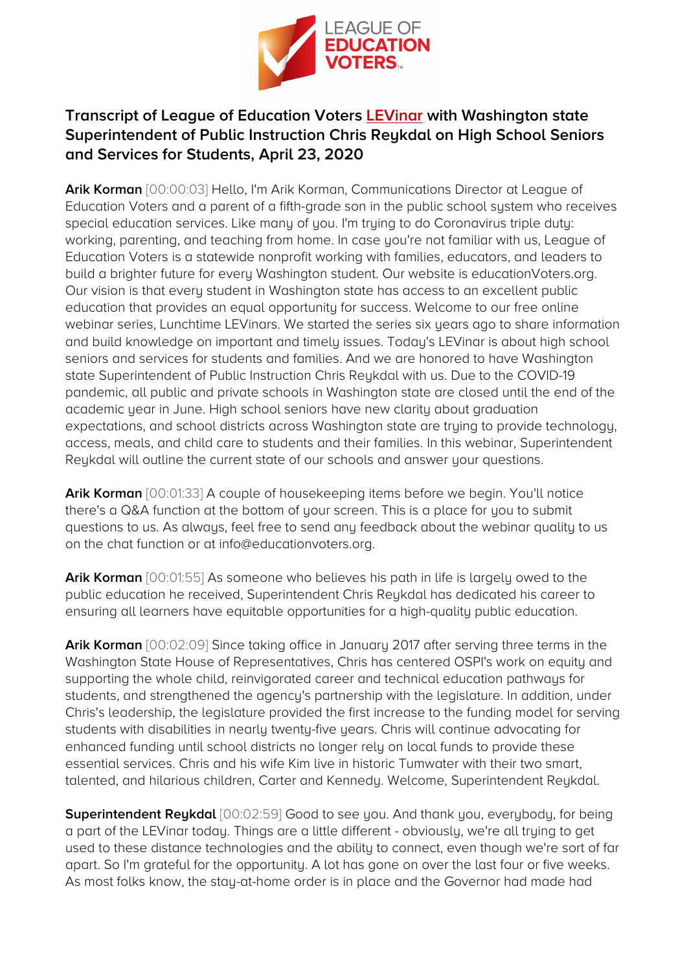

## **Transcript of League of Education Voters [LEVinar](https://youtu.be/LHDBwfONaq0) with Washington state Superintendent of Public Instruction Chris Reykdal on High School Seniors and Services for Students, April 23, 2020**

**Arik Korman** [00:00:03] Hello, I'm Arik Korman, Communications Director at League of Education Voters and a parent of a fifth-grade son in the public school system who receives special education services. Like many of you. I'm trying to do Coronavirus triple duty: working, parenting, and teaching from home. In case you're not familiar with us, League of Education Voters is a statewide nonprofit working with families, educators, and leaders to build a brighter future for every Washington student. Our website is educationVoters.org. Our vision is that every student in Washington state has access to an excellent public education that provides an equal opportunity for success. Welcome to our free online webinar series, Lunchtime LEVinars. We started the series six years ago to share information and build knowledge on important and timely issues. Today's LEVinar is about high school seniors and services for students and families. And we are honored to have Washington state Superintendent of Public Instruction Chris Reykdal with us. Due to the COVID-19 pandemic, all public and private schools in Washington state are closed until the end of the academic year in June. High school seniors have new clarity about graduation expectations, and school districts across Washington state are trying to provide technology, access, meals, and child care to students and their families. In this webinar, Superintendent Reykdal will outline the current state of our schools and answer your questions.

**Arik Korman** [00:01:33] A couple of housekeeping items before we begin. You'll notice there's a Q&A function at the bottom of your screen. This is a place for you to submit questions to us. As always, feel free to send any feedback about the webinar quality to us on the chat function or at info@educationvoters.org.

**Arik Korman** [00:01:55] As someone who believes his path in life is largely owed to the public education he received, Superintendent Chris Reykdal has dedicated his career to ensuring all learners have equitable opportunities for a high-quality public education.

**Arik Korman** [00:02:09] Since taking office in January 2017 after serving three terms in the Washington State House of Representatives, Chris has centered OSPI's work on equity and supporting the whole child, reinvigorated career and technical education pathways for students, and strengthened the agency's partnership with the legislature. In addition, under Chris's leadership, the legislature provided the first increase to the funding model for serving students with disabilities in nearly twenty-five years. Chris will continue advocating for enhanced funding until school districts no longer rely on local funds to provide these essential services. Chris and his wife Kim live in historic Tumwater with their two smart, talented, and hilarious children, Carter and Kennedy. Welcome, Superintendent Reykdal.

**Superintendent Reykdal** [00:02:59] Good to see you. And thank you, everybody, for being a part of the LEVinar today. Things are a little different - obviously, we're all trying to get used to these distance technologies and the ability to connect, even though we're sort of far apart. So I'm grateful for the opportunity. A lot has gone on over the last four or five weeks. As most folks know, the stay-at-home order is in place and the Governor had made had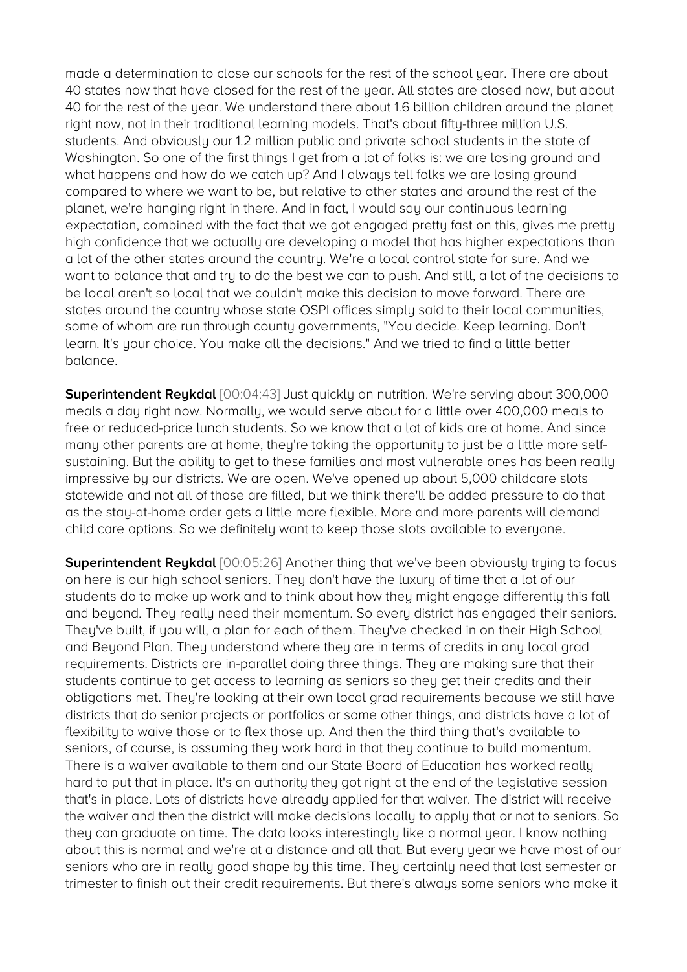made a determination to close our schools for the rest of the school year. There are about 40 states now that have closed for the rest of the year. All states are closed now, but about 40 for the rest of the year. We understand there about 1.6 billion children around the planet right now, not in their traditional learning models. That's about fifty-three million U.S. students. And obviously our 1.2 million public and private school students in the state of Washington. So one of the first things I get from a lot of folks is: we are losing ground and what happens and how do we catch up? And I always tell folks we are losing ground compared to where we want to be, but relative to other states and around the rest of the planet, we're hanging right in there. And in fact, I would say our continuous learning expectation, combined with the fact that we got engaged pretty fast on this, gives me pretty high confidence that we actually are developing a model that has higher expectations than a lot of the other states around the country. We're a local control state for sure. And we want to balance that and try to do the best we can to push. And still, a lot of the decisions to be local aren't so local that we couldn't make this decision to move forward. There are states around the country whose state OSPI offices simply said to their local communities, some of whom are run through county governments, "You decide. Keep learning. Don't learn. It's your choice. You make all the decisions." And we tried to find a little better balance.

**Superintendent Reykdal** [00:04:43] Just quickly on nutrition. We're serving about 300,000 meals a day right now. Normally, we would serve about for a little over 400,000 meals to free or reduced-price lunch students. So we know that a lot of kids are at home. And since many other parents are at home, they're taking the opportunity to just be a little more selfsustaining. But the ability to get to these families and most vulnerable ones has been really impressive by our districts. We are open. We've opened up about 5,000 childcare slots statewide and not all of those are filled, but we think there'll be added pressure to do that as the stay-at-home order gets a little more flexible. More and more parents will demand child care options. So we definitely want to keep those slots available to everyone.

**Superintendent Reykdal** [00:05:26] Another thing that we've been obviously trying to focus on here is our high school seniors. They don't have the luxury of time that a lot of our students do to make up work and to think about how they might engage differently this fall and beyond. They really need their momentum. So every district has engaged their seniors. They've built, if you will, a plan for each of them. They've checked in on their High School and Beyond Plan. They understand where they are in terms of credits in any local grad requirements. Districts are in-parallel doing three things. They are making sure that their students continue to get access to learning as seniors so they get their credits and their obligations met. They're looking at their own local grad requirements because we still have districts that do senior projects or portfolios or some other things, and districts have a lot of flexibility to waive those or to flex those up. And then the third thing that's available to seniors, of course, is assuming they work hard in that they continue to build momentum. There is a waiver available to them and our State Board of Education has worked really hard to put that in place. It's an authority they got right at the end of the legislative session that's in place. Lots of districts have already applied for that waiver. The district will receive the waiver and then the district will make decisions locally to apply that or not to seniors. So they can graduate on time. The data looks interestingly like a normal year. I know nothing about this is normal and we're at a distance and all that. But every year we have most of our seniors who are in really good shape by this time. They certainly need that last semester or trimester to finish out their credit requirements. But there's always some seniors who make it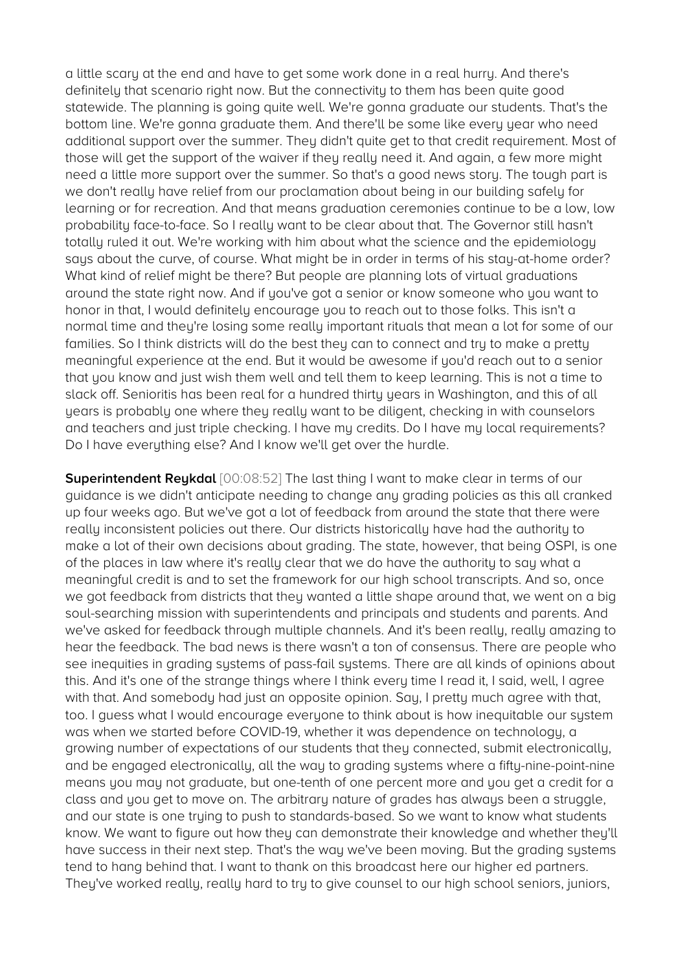a little scary at the end and have to get some work done in a real hurry. And there's definitely that scenario right now. But the connectivity to them has been quite good statewide. The planning is going quite well. We're gonna graduate our students. That's the bottom line. We're gonna graduate them. And there'll be some like every year who need additional support over the summer. They didn't quite get to that credit requirement. Most of those will get the support of the waiver if they really need it. And again, a few more might need a little more support over the summer. So that's a good news story. The tough part is we don't really have relief from our proclamation about being in our building safely for learning or for recreation. And that means graduation ceremonies continue to be a low, low probability face-to-face. So I really want to be clear about that. The Governor still hasn't totally ruled it out. We're working with him about what the science and the epidemiology says about the curve, of course. What might be in order in terms of his stay-at-home order? What kind of relief might be there? But people are planning lots of virtual graduations around the state right now. And if you've got a senior or know someone who you want to honor in that, I would definitely encourage you to reach out to those folks. This isn't a normal time and they're losing some really important rituals that mean a lot for some of our families. So I think districts will do the best they can to connect and try to make a pretty meaningful experience at the end. But it would be awesome if you'd reach out to a senior that you know and just wish them well and tell them to keep learning. This is not a time to slack off. Senioritis has been real for a hundred thirty years in Washington, and this of all years is probably one where they really want to be diligent, checking in with counselors and teachers and just triple checking. I have my credits. Do I have my local requirements? Do I have everything else? And I know we'll get over the hurdle.

**Superintendent Reykdal** [00:08:52] The last thing I want to make clear in terms of our guidance is we didn't anticipate needing to change any grading policies as this all cranked up four weeks ago. But we've got a lot of feedback from around the state that there were really inconsistent policies out there. Our districts historically have had the authority to make a lot of their own decisions about grading. The state, however, that being OSPI, is one of the places in law where it's really clear that we do have the authority to say what a meaningful credit is and to set the framework for our high school transcripts. And so, once we got feedback from districts that they wanted a little shape around that, we went on a big soul-searching mission with superintendents and principals and students and parents. And we've asked for feedback through multiple channels. And it's been really, really amazing to hear the feedback. The bad news is there wasn't a ton of consensus. There are people who see inequities in grading systems of pass-fail systems. There are all kinds of opinions about this. And it's one of the strange things where I think every time I read it, I said, well, I agree with that. And somebody had just an opposite opinion. Say, I pretty much agree with that, too. I guess what I would encourage everyone to think about is how inequitable our system was when we started before COVID-19, whether it was dependence on technology, a growing number of expectations of our students that they connected, submit electronically, and be engaged electronically, all the way to grading systems where a fifty-nine-point-nine means you may not graduate, but one-tenth of one percent more and you get a credit for a class and you get to move on. The arbitrary nature of grades has always been a struggle, and our state is one trying to push to standards-based. So we want to know what students know. We want to figure out how they can demonstrate their knowledge and whether they'll have success in their next step. That's the way we've been moving. But the grading systems tend to hang behind that. I want to thank on this broadcast here our higher ed partners. They've worked really, really hard to try to give counsel to our high school seniors, juniors,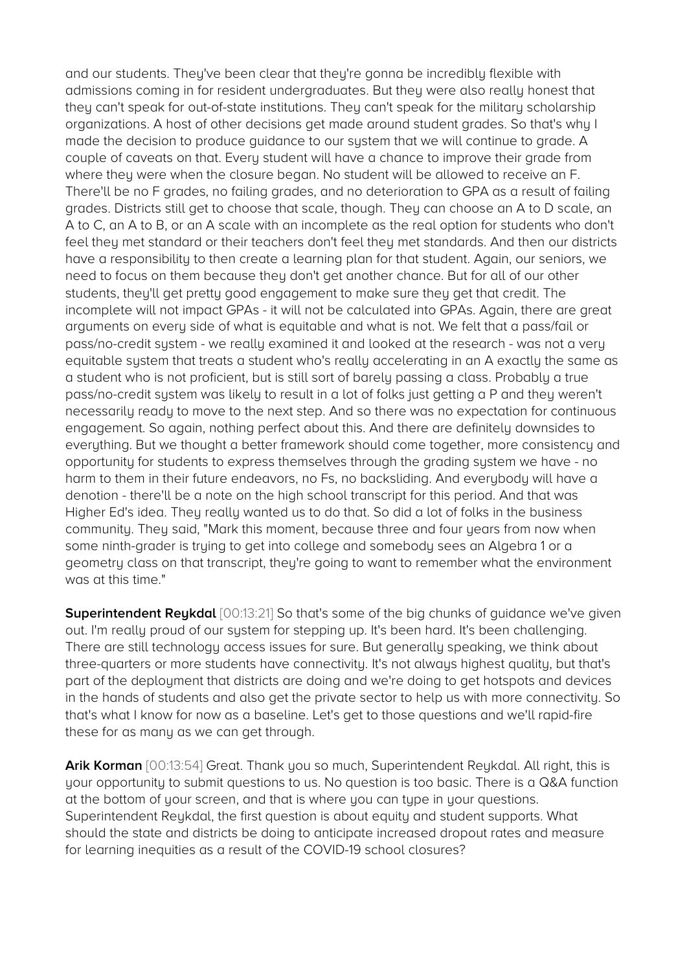and our students. They've been clear that they're gonna be incredibly flexible with admissions coming in for resident undergraduates. But they were also really honest that they can't speak for out-of-state institutions. They can't speak for the military scholarship organizations. A host of other decisions get made around student grades. So that's why I made the decision to produce guidance to our system that we will continue to grade. A couple of caveats on that. Every student will have a chance to improve their grade from where they were when the closure began. No student will be allowed to receive an F. There'll be no F grades, no failing grades, and no deterioration to GPA as a result of failing grades. Districts still get to choose that scale, though. They can choose an A to D scale, an A to C, an A to B, or an A scale with an incomplete as the real option for students who don't feel they met standard or their teachers don't feel they met standards. And then our districts have a responsibility to then create a learning plan for that student. Again, our seniors, we need to focus on them because they don't get another chance. But for all of our other students, they'll get pretty good engagement to make sure they get that credit. The incomplete will not impact GPAs - it will not be calculated into GPAs. Again, there are great arguments on every side of what is equitable and what is not. We felt that a pass/fail or pass/no-credit system - we really examined it and looked at the research - was not a very equitable system that treats a student who's really accelerating in an A exactly the same as a student who is not proficient, but is still sort of barely passing a class. Probably a true pass/no-credit system was likely to result in a lot of folks just getting a P and they weren't necessarily ready to move to the next step. And so there was no expectation for continuous engagement. So again, nothing perfect about this. And there are definitely downsides to everything. But we thought a better framework should come together, more consistency and opportunity for students to express themselves through the grading system we have - no harm to them in their future endeavors, no Fs, no backsliding. And everybody will have a denotion - there'll be a note on the high school transcript for this period. And that was Higher Ed's idea. They really wanted us to do that. So did a lot of folks in the business community. They said, "Mark this moment, because three and four years from now when some ninth-grader is trying to get into college and somebody sees an Algebra 1 or a geometry class on that transcript, they're going to want to remember what the environment was at this time."

**Superintendent Reykdal** [00:13:21] So that's some of the big chunks of guidance we've given out. I'm really proud of our system for stepping up. It's been hard. It's been challenging. There are still technology access issues for sure. But generally speaking, we think about three-quarters or more students have connectivity. It's not always highest quality, but that's part of the deployment that districts are doing and we're doing to get hotspots and devices in the hands of students and also get the private sector to help us with more connectivity. So that's what I know for now as a baseline. Let's get to those questions and we'll rapid-fire these for as many as we can get through.

**Arik Korman** [00:13:54] Great. Thank you so much, Superintendent Reukdal. All right, this is your opportunity to submit questions to us. No question is too basic. There is a Q&A function at the bottom of your screen, and that is where you can type in your questions. Superintendent Reykdal, the first question is about equity and student supports. What should the state and districts be doing to anticipate increased dropout rates and measure for learning inequities as a result of the COVID-19 school closures?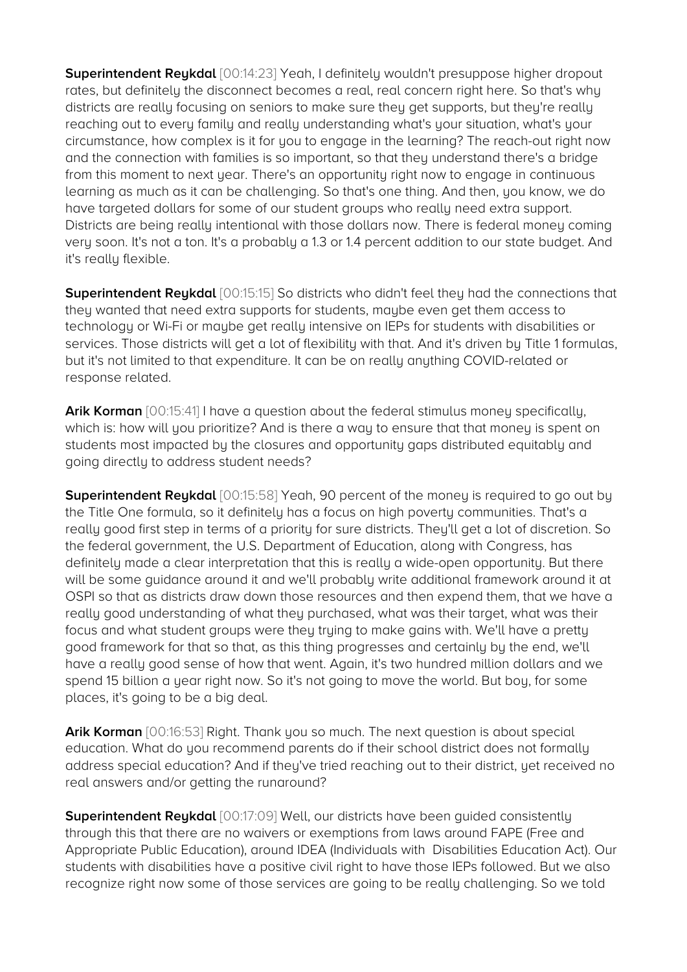**Superintendent Reykdal** [00:14:23] Yeah, I definitely wouldn't presuppose higher dropout rates, but definitely the disconnect becomes a real, real concern right here. So that's why districts are really focusing on seniors to make sure they get supports, but they're really reaching out to every family and really understanding what's your situation, what's your circumstance, how complex is it for you to engage in the learning? The reach-out right now and the connection with families is so important, so that they understand there's a bridge from this moment to next year. There's an opportunity right now to engage in continuous learning as much as it can be challenging. So that's one thing. And then, you know, we do have targeted dollars for some of our student groups who really need extra support. Districts are being really intentional with those dollars now. There is federal money coming very soon. It's not a ton. It's a probably a 1.3 or 1.4 percent addition to our state budget. And it's really flexible.

**Superintendent Reykdal** [00:15:15] So districts who didn't feel they had the connections that they wanted that need extra supports for students, maybe even get them access to technology or Wi-Fi or maybe get really intensive on IEPs for students with disabilities or services. Those districts will get a lot of flexibility with that. And it's driven by Title 1 formulas, but it's not limited to that expenditure. It can be on really anything COVID-related or response related.

Arik Korman  $[00:15:41]$  I have a question about the federal stimulus money specifically, which is: how will you prioritize? And is there a way to ensure that that money is spent on students most impacted by the closures and opportunity gaps distributed equitably and going directly to address student needs?

**Superintendent Reykdal** [00:15:58] Yeah, 90 percent of the money is required to go out by the Title One formula, so it definitely has a focus on high poverty communities. That's a really good first step in terms of a priority for sure districts. They'll get a lot of discretion. So the federal government, the U.S. Department of Education, along with Congress, has definitely made a clear interpretation that this is really a wide-open opportunity. But there will be some guidance around it and we'll probably write additional framework around it at OSPI so that as districts draw down those resources and then expend them, that we have a really good understanding of what they purchased, what was their target, what was their focus and what student groups were they trying to make gains with. We'll have a pretty good framework for that so that, as this thing progresses and certainly by the end, we'll have a really good sense of how that went. Again, it's two hundred million dollars and we spend 15 billion a year right now. So it's not going to move the world. But boy, for some places, it's going to be a big deal.

**Arik Korman** [00:16:53] Right. Thank you so much. The next question is about special education. What do you recommend parents do if their school district does not formally address special education? And if they've tried reaching out to their district, yet received no real answers and/or getting the runaround?

**Superintendent Reykdal** [00:17:09] Well, our districts have been guided consistently through this that there are no waivers or exemptions from laws around FAPE (Free and Appropriate Public Education), around IDEA (Individuals with Disabilities Education Act). Our students with disabilities have a positive civil right to have those IEPs followed. But we also recognize right now some of those services are going to be really challenging. So we told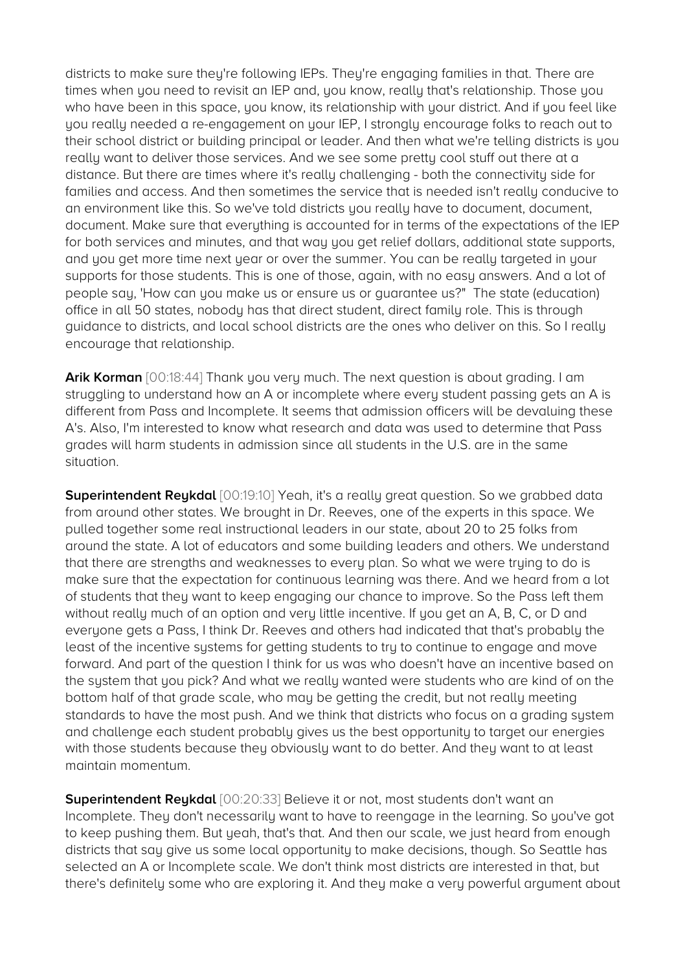districts to make sure they're following IEPs. They're engaging families in that. There are times when you need to revisit an IEP and, you know, really that's relationship. Those you who have been in this space, you know, its relationship with your district. And if you feel like you really needed a re-engagement on your IEP, I strongly encourage folks to reach out to their school district or building principal or leader. And then what we're telling districts is you really want to deliver those services. And we see some pretty cool stuff out there at a distance. But there are times where it's really challenging - both the connectivity side for families and access. And then sometimes the service that is needed isn't really conducive to an environment like this. So we've told districts you really have to document, document, document. Make sure that everything is accounted for in terms of the expectations of the IEP for both services and minutes, and that way you get relief dollars, additional state supports, and you get more time next year or over the summer. You can be really targeted in your supports for those students. This is one of those, again, with no easy answers. And a lot of people say, 'How can you make us or ensure us or guarantee us?" The state (education) office in all 50 states, nobody has that direct student, direct family role. This is through guidance to districts, and local school districts are the ones who deliver on this. So I really encourage that relationship.

**Arik Korman** [00:18:44] Thank you very much. The next question is about grading. I am struggling to understand how an A or incomplete where every student passing gets an A is different from Pass and Incomplete. It seems that admission officers will be devaluing these A's. Also, I'm interested to know what research and data was used to determine that Pass grades will harm students in admission since all students in the U.S. are in the same situation.

**Superintendent Reykdal** [00:19:10] Yeah, it's a really great question. So we grabbed data from around other states. We brought in Dr. Reeves, one of the experts in this space. We pulled together some real instructional leaders in our state, about 20 to 25 folks from around the state. A lot of educators and some building leaders and others. We understand that there are strengths and weaknesses to every plan. So what we were truing to do is make sure that the expectation for continuous learning was there. And we heard from a lot of students that they want to keep engaging our chance to improve. So the Pass left them without really much of an option and very little incentive. If you get an A, B, C, or D and everyone gets a Pass, I think Dr. Reeves and others had indicated that that's probably the least of the incentive systems for getting students to try to continue to engage and move forward. And part of the question I think for us was who doesn't have an incentive based on the system that you pick? And what we really wanted were students who are kind of on the bottom half of that grade scale, who may be getting the credit, but not really meeting standards to have the most push. And we think that districts who focus on a grading system and challenge each student probably gives us the best opportunity to target our energies with those students because they obviously want to do better. And they want to at least maintain momentum.

**Superintendent Reykdal** [00:20:33] Believe it or not, most students don't want an Incomplete. They don't necessarily want to have to reengage in the learning. So you've got to keep pushing them. But yeah, that's that. And then our scale, we just heard from enough districts that say give us some local opportunity to make decisions, though. So Seattle has selected an A or Incomplete scale. We don't think most districts are interested in that, but there's definitely some who are exploring it. And they make a very powerful argument about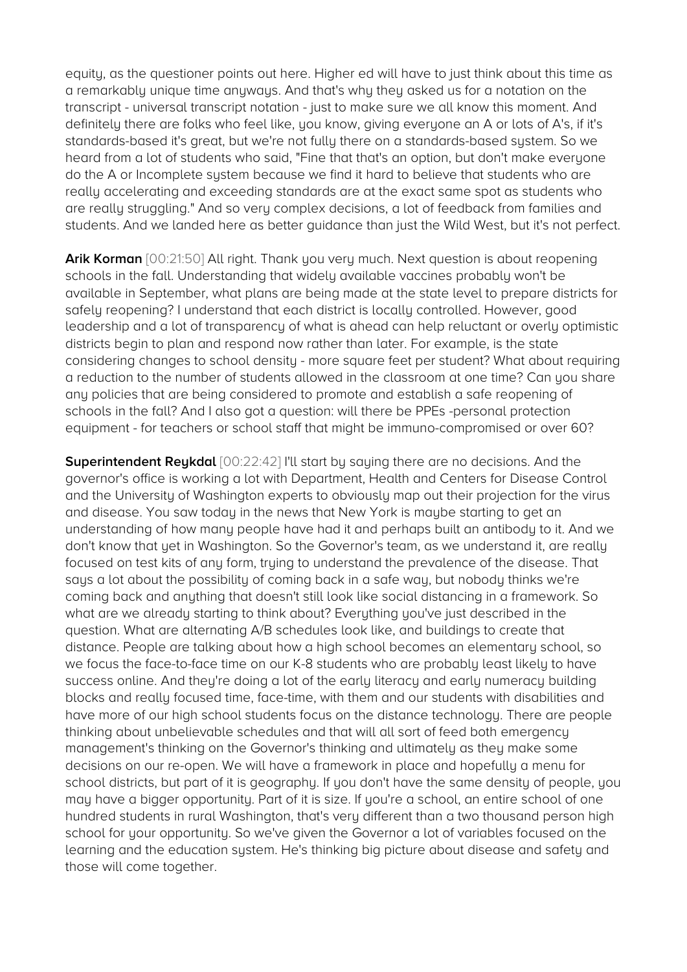equity, as the questioner points out here. Higher ed will have to just think about this time as a remarkably unique time anyways. And that's why they asked us for a notation on the transcript - universal transcript notation - just to make sure we all know this moment. And definitely there are folks who feel like, you know, giving everyone an A or lots of A's, if it's standards-based it's great, but we're not fully there on a standards-based system. So we heard from a lot of students who said, "Fine that that's an option, but don't make everyone do the A or Incomplete system because we find it hard to believe that students who are really accelerating and exceeding standards are at the exact same spot as students who are really struggling." And so very complex decisions, a lot of feedback from families and students. And we landed here as better guidance than just the Wild West, but it's not perfect.

**Arik Korman** [00:21:50] All right. Thank you very much. Next question is about reopening schools in the fall. Understanding that widely available vaccines probably won't be available in September, what plans are being made at the state level to prepare districts for safely reopening? I understand that each district is locally controlled. However, good leadership and a lot of transparency of what is ahead can help reluctant or overly optimistic districts begin to plan and respond now rather than later. For example, is the state considering changes to school density - more square feet per student? What about requiring a reduction to the number of students allowed in the classroom at one time? Can you share any policies that are being considered to promote and establish a safe reopening of schools in the fall? And I also got a question: will there be PPEs -personal protection equipment - for teachers or school staff that might be immuno-compromised or over 60?

**Superintendent Reykdal** [00:22:42] I'll start by saying there are no decisions. And the governor's office is working a lot with Department, Health and Centers for Disease Control and the University of Washington experts to obviously map out their projection for the virus and disease. You saw today in the news that New York is maybe starting to get an understanding of how many people have had it and perhaps built an antibody to it. And we don't know that yet in Washington. So the Governor's team, as we understand it, are really focused on test kits of any form, truing to understand the prevalence of the disease. That says a lot about the possibility of coming back in a safe way, but nobody thinks we're coming back and anything that doesn't still look like social distancing in a framework. So what are we already starting to think about? Everything you've just described in the question. What are alternating A/B schedules look like, and buildings to create that distance. People are talking about how a high school becomes an elementary school, so we focus the face-to-face time on our K-8 students who are probably least likely to have success online. And they're doing a lot of the early literacy and early numeracy building blocks and really focused time, face-time, with them and our students with disabilities and have more of our high school students focus on the distance technology. There are people thinking about unbelievable schedules and that will all sort of feed both emergency management's thinking on the Governor's thinking and ultimately as they make some decisions on our re-open. We will have a framework in place and hopefully a menu for school districts, but part of it is geography. If you don't have the same density of people, you may have a bigger opportunity. Part of it is size. If you're a school, an entire school of one hundred students in rural Washington, that's very different than a two thousand person high school for your opportunity. So we've given the Governor a lot of variables focused on the learning and the education system. He's thinking big picture about disease and safety and those will come together.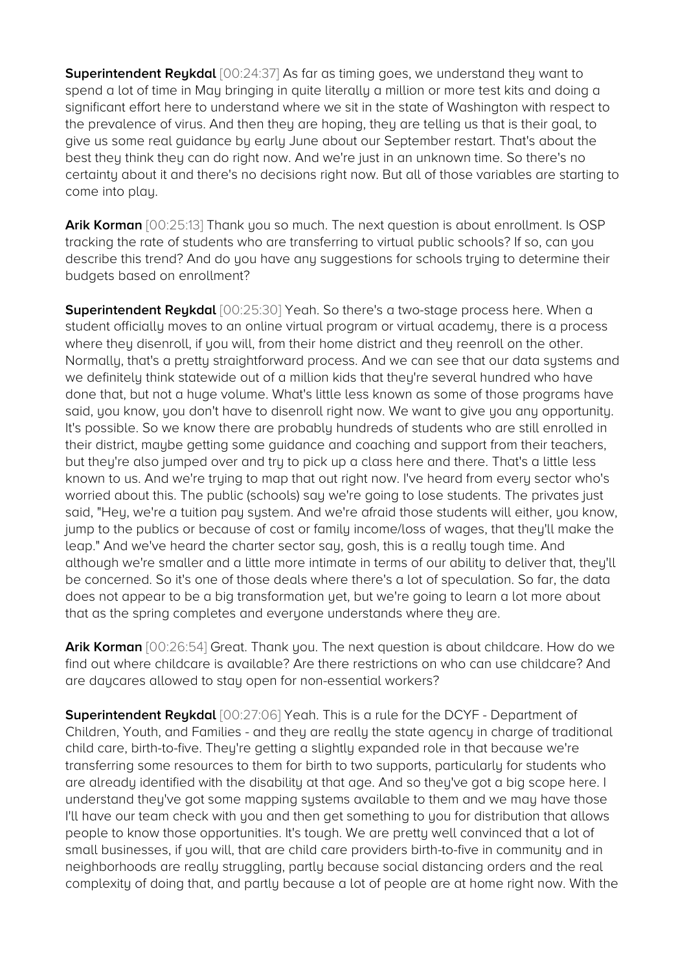**Superintendent Reykdal** [00:24:37] As far as timing goes, we understand they want to spend a lot of time in May bringing in quite literally a million or more test kits and doing a significant effort here to understand where we sit in the state of Washington with respect to the prevalence of virus. And then they are hoping, they are telling us that is their goal, to give us some real guidance by early June about our September restart. That's about the best they think they can do right now. And we're just in an unknown time. So there's no certainty about it and there's no decisions right now. But all of those variables are starting to come into play.

**Arik Korman** [00:25:13] Thank you so much. The next question is about enrollment. Is OSP tracking the rate of students who are transferring to virtual public schools? If so, can you describe this trend? And do you have any suggestions for schools trying to determine their budgets based on enrollment?

**Superintendent Reykdal** [00:25:30] Yeah. So there's a two-stage process here. When a student officially moves to an online virtual program or virtual academy, there is a process where they disenroll, if you will, from their home district and they reenroll on the other. Normally, that's a pretty straightforward process. And we can see that our data systems and we definitely think statewide out of a million kids that they're several hundred who have done that, but not a huge volume. What's little less known as some of those programs have said, you know, you don't have to disenroll right now. We want to give you any opportunity. It's possible. So we know there are probably hundreds of students who are still enrolled in their district, maybe getting some guidance and coaching and support from their teachers, but they're also jumped over and try to pick up a class here and there. That's a little less known to us. And we're trying to map that out right now. I've heard from every sector who's worried about this. The public (schools) say we're going to lose students. The privates just said, "Hey, we're a tuition pay system. And we're afraid those students will either, you know, jump to the publics or because of cost or family income/loss of wages, that they'll make the leap." And we've heard the charter sector say, gosh, this is a really tough time. And although we're smaller and a little more intimate in terms of our abilitu to deliver that, they'll be concerned. So it's one of those deals where there's a lot of speculation. So far, the data does not appear to be a big transformation yet, but we're going to learn a lot more about that as the spring completes and everyone understands where they are.

**Arik Korman** [00:26:54] Great. Thank you. The next question is about childcare. How do we find out where childcare is available? Are there restrictions on who can use childcare? And are daycares allowed to stay open for non-essential workers?

**Superintendent Reykdal** [00:27:06] Yeah. This is a rule for the DCYF - Department of Children, Youth, and Families - and they are really the state agency in charge of traditional child care, birth-to-five. They're getting a slightly expanded role in that because we're transferring some resources to them for birth to two supports, particularly for students who are already identified with the disability at that age. And so they've got a big scope here. I understand they've got some mapping systems available to them and we may have those I'll have our team check with you and then get something to you for distribution that allows people to know those opportunities. It's tough. We are pretty well convinced that a lot of small businesses, if you will, that are child care providers birth-to-five in community and in neighborhoods are really struggling, partly because social distancing orders and the real complexity of doing that, and partly because a lot of people are at home right now. With the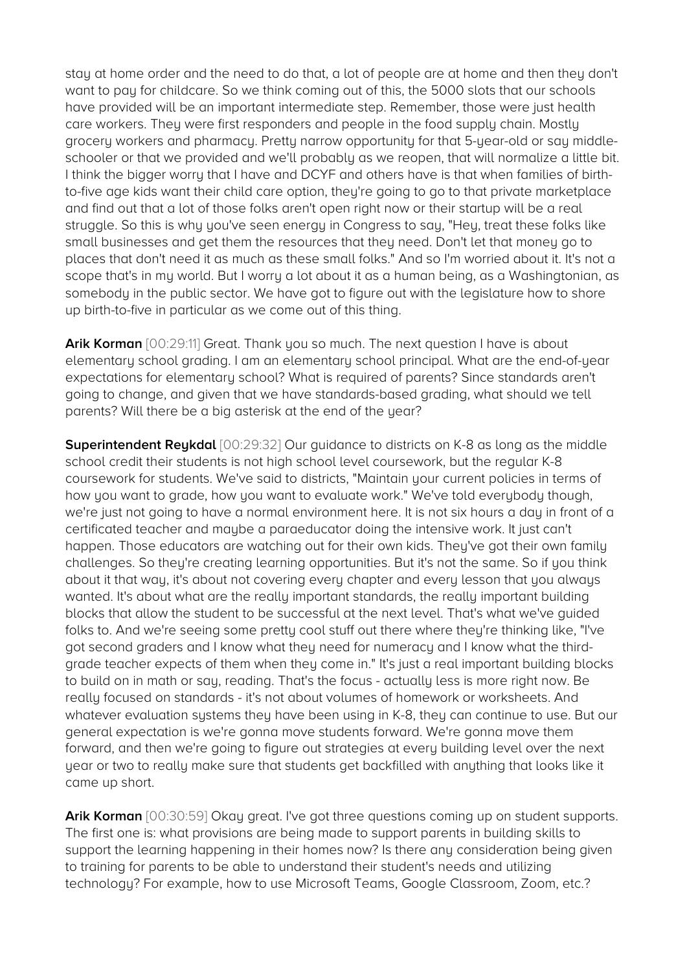stay at home order and the need to do that, a lot of people are at home and then they don't want to pay for childcare. So we think coming out of this, the 5000 slots that our schools have provided will be an important intermediate step. Remember, those were just health care workers. They were first responders and people in the food supply chain. Mostly grocery workers and pharmacy. Pretty narrow opportunity for that 5-year-old or say middleschooler or that we provided and we'll probably as we reopen, that will normalize a little bit. I think the bigger worry that I have and DCYF and others have is that when families of birthto-five age kids want their child care option, they're going to go to that private marketplace and find out that a lot of those folks aren't open right now or their startup will be a real struggle. So this is why you've seen energy in Congress to say, "Hey, treat these folks like small businesses and get them the resources that they need. Don't let that money go to places that don't need it as much as these small folks." And so I'm worried about it. It's not a scope that's in my world. But I worry a lot about it as a human being, as a Washingtonian, as somebody in the public sector. We have got to figure out with the legislature how to shore up birth-to-five in particular as we come out of this thing.

Arik Korman [00:29:11] Great. Thank you so much. The next question I have is about elementary school grading. I am an elementary school principal. What are the end-of-year expectations for elementary school? What is required of parents? Since standards aren't going to change, and given that we have standards-based grading, what should we tell parents? Will there be a big asterisk at the end of the year?

**Superintendent Reykdal** [00:29:32] Our guidance to districts on K-8 as long as the middle school credit their students is not high school level coursework, but the regular K-8 coursework for students. We've said to districts, "Maintain your current policies in terms of how you want to grade, how you want to evaluate work." We've told everybody though, we're just not going to have a normal environment here. It is not six hours a day in front of a certificated teacher and maybe a paraeducator doing the intensive work. It just can't happen. Those educators are watching out for their own kids. They've got their own family challenges. So they're creating learning opportunities. But it's not the same. So if you think about it that way, it's about not covering every chapter and every lesson that you always wanted. It's about what are the really important standards, the really important building blocks that allow the student to be successful at the next level. That's what we've guided folks to. And we're seeing some pretty cool stuff out there where they're thinking like, "I've got second graders and I know what they need for numeracy and I know what the thirdgrade teacher expects of them when they come in." It's just a real important building blocks to build on in math or say, reading. That's the focus - actually less is more right now. Be really focused on standards - it's not about volumes of homework or worksheets. And whatever evaluation systems they have been using in K-8, they can continue to use. But our general expectation is we're gonna move students forward. We're gonna move them forward, and then we're going to figure out strategies at every building level over the next year or two to really make sure that students get backfilled with anything that looks like it came up short.

Arik Korman  $[00:30:59]$  Okay great. I've got three questions coming up on student supports. The first one is: what provisions are being made to support parents in building skills to support the learning happening in their homes now? Is there any consideration being given to training for parents to be able to understand their student's needs and utilizing technology? For example, how to use Microsoft Teams, Google Classroom, Zoom, etc.?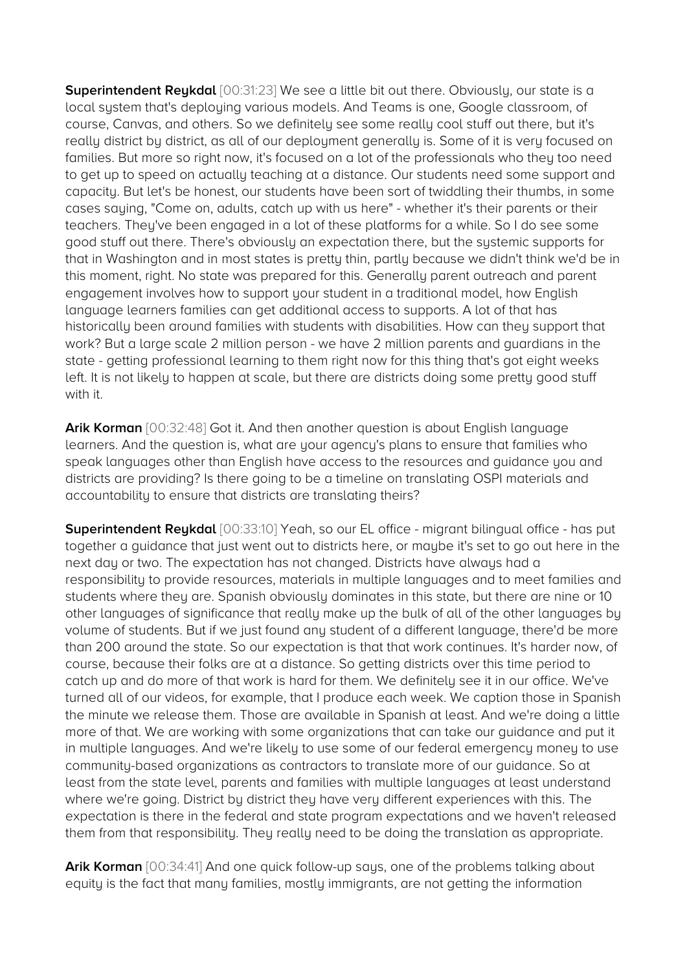**Superintendent Reykdal** [00:31:23] We see a little bit out there. Obviously, our state is a local system that's deploying various models. And Teams is one, Google classroom, of course, Canvas, and others. So we definitely see some really cool stuff out there, but it's really district by district, as all of our deployment generally is. Some of it is very focused on families. But more so right now, it's focused on a lot of the professionals who they too need to get up to speed on actually teaching at a distance. Our students need some support and capacity. But let's be honest, our students have been sort of twiddling their thumbs, in some cases saying, "Come on, adults, catch up with us here" - whether it's their parents or their teachers. They've been engaged in a lot of these platforms for a while. So I do see some good stuff out there. There's obviously an expectation there, but the systemic supports for that in Washington and in most states is pretty thin, partly because we didn't think we'd be in this moment, right. No state was prepared for this. Generally parent outreach and parent engagement involves how to support your student in a traditional model, how English language learners families can get additional access to supports. A lot of that has historically been around families with students with disabilities. How can they support that work? But a large scale 2 million person - we have 2 million parents and guardians in the state - getting professional learning to them right now for this thing that's got eight weeks left. It is not likely to happen at scale, but there are districts doing some pretty good stuff with it.

**Arik Korman** [00:32:48] Got it. And then another question is about English language learners. And the question is, what are your agency's plans to ensure that families who speak languages other than English have access to the resources and guidance you and districts are providing? Is there going to be a timeline on translating OSPI materials and accountability to ensure that districts are translating theirs?

**Superintendent Reykdal** [00:33:10] Yeah, so our EL office - migrant bilingual office - has put together a guidance that just went out to districts here, or maybe it's set to go out here in the next day or two. The expectation has not changed. Districts have always had a responsibility to provide resources, materials in multiple languages and to meet families and students where they are. Spanish obviously dominates in this state, but there are nine or 10 other languages of significance that really make up the bulk of all of the other languages by volume of students. But if we just found any student of a different language, there'd be more than 200 around the state. So our expectation is that that work continues. It's harder now, of course, because their folks are at a distance. So getting districts over this time period to catch up and do more of that work is hard for them. We definitely see it in our office. We've turned all of our videos, for example, that I produce each week. We caption those in Spanish the minute we release them. Those are available in Spanish at least. And we're doing a little more of that. We are working with some organizations that can take our guidance and put it in multiple languages. And we're likely to use some of our federal emergency money to use community-based organizations as contractors to translate more of our guidance. So at least from the state level, parents and families with multiple languages at least understand where we're going. District by district they have very different experiences with this. The expectation is there in the federal and state program expectations and we haven't released them from that responsibility. They really need to be doing the translation as appropriate.

**Arik Korman** [00:34:41] And one quick follow-up says, one of the problems talking about equity is the fact that many families, mostly immigrants, are not getting the information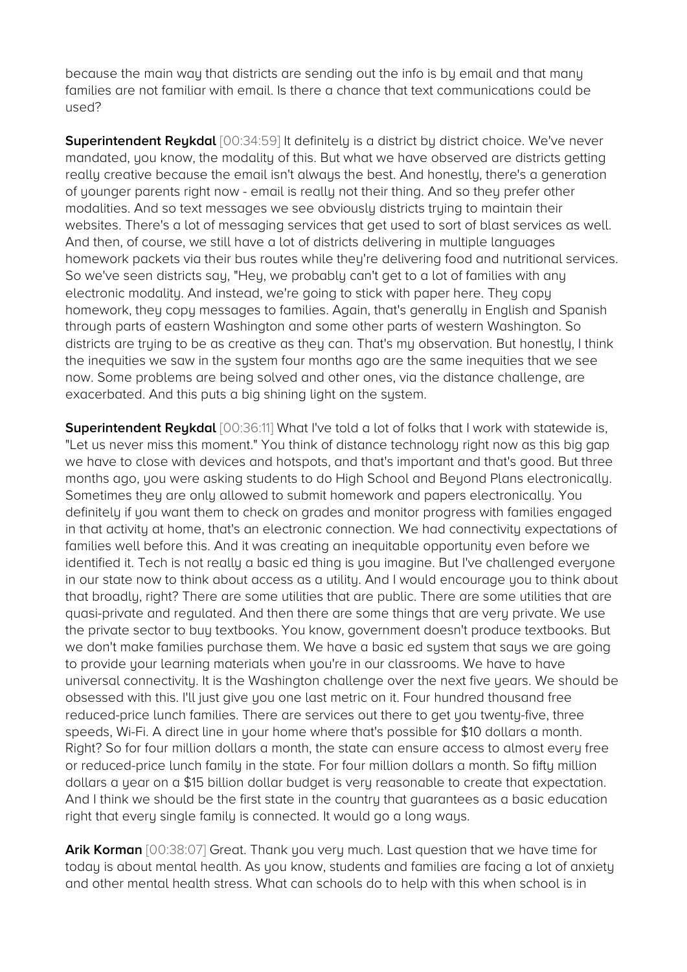because the main way that districts are sending out the info is by email and that many families are not familiar with email. Is there a chance that text communications could be used?

**Superintendent Reykdal** [00:34:59] It definitely is a district by district choice. We've never mandated, you know, the modality of this. But what we have observed are districts getting really creative because the email isn't always the best. And honestly, there's a generation of younger parents right now - email is really not their thing. And so they prefer other modalities. And so text messages we see obviously districts trying to maintain their websites. There's a lot of messaging services that get used to sort of blast services as well. And then, of course, we still have a lot of districts delivering in multiple languages homework packets via their bus routes while they're delivering food and nutritional services. So we've seen districts say, "Hey, we probably can't get to a lot of families with any electronic modality. And instead, we're going to stick with paper here. They copy homework, they copy messages to families. Again, that's generally in English and Spanish through parts of eastern Washington and some other parts of western Washington. So districts are trying to be as creative as they can. That's my observation. But honestly, I think the inequities we saw in the system four months ago are the same inequities that we see now. Some problems are being solved and other ones, via the distance challenge, are exacerbated. And this puts a big shining light on the system.

**Superintendent Reykdal** [00:36:11] What I've told a lot of folks that I work with statewide is, "Let us never miss this moment." You think of distance technology right now as this big gap we have to close with devices and hotspots, and that's important and that's good. But three months ago, you were asking students to do High School and Beyond Plans electronically. Sometimes they are only allowed to submit homework and papers electronically. You definitely if you want them to check on grades and monitor progress with families engaged in that activity at home, that's an electronic connection. We had connectivity expectations of families well before this. And it was creating an inequitable opportunity even before we identified it. Tech is not really a basic ed thing is you imagine. But I've challenged everyone in our state now to think about access as a utility. And I would encourage you to think about that broadly, right? There are some utilities that are public. There are some utilities that are quasi-private and regulated. And then there are some things that are very private. We use the private sector to buy textbooks. You know, government doesn't produce textbooks. But we don't make families purchase them. We have a basic ed system that says we are going to provide your learning materials when you're in our classrooms. We have to have universal connectivity. It is the Washington challenge over the next five years. We should be obsessed with this. I'll just give you one last metric on it. Four hundred thousand free reduced-price lunch families. There are services out there to get you twenty-five, three speeds, Wi-Fi. A direct line in your home where that's possible for \$10 dollars a month. Right? So for four million dollars a month, the state can ensure access to almost every free or reduced-price lunch family in the state. For four million dollars a month. So fifty million dollars a year on a \$15 billion dollar budget is very reasonable to create that expectation. And I think we should be the first state in the country that guarantees as a basic education right that every single family is connected. It would go a long ways.

**Arik Korman** [00:38:07] Great. Thank you very much. Last question that we have time for today is about mental health. As you know, students and families are facing a lot of anxiety and other mental health stress. What can schools do to help with this when school is in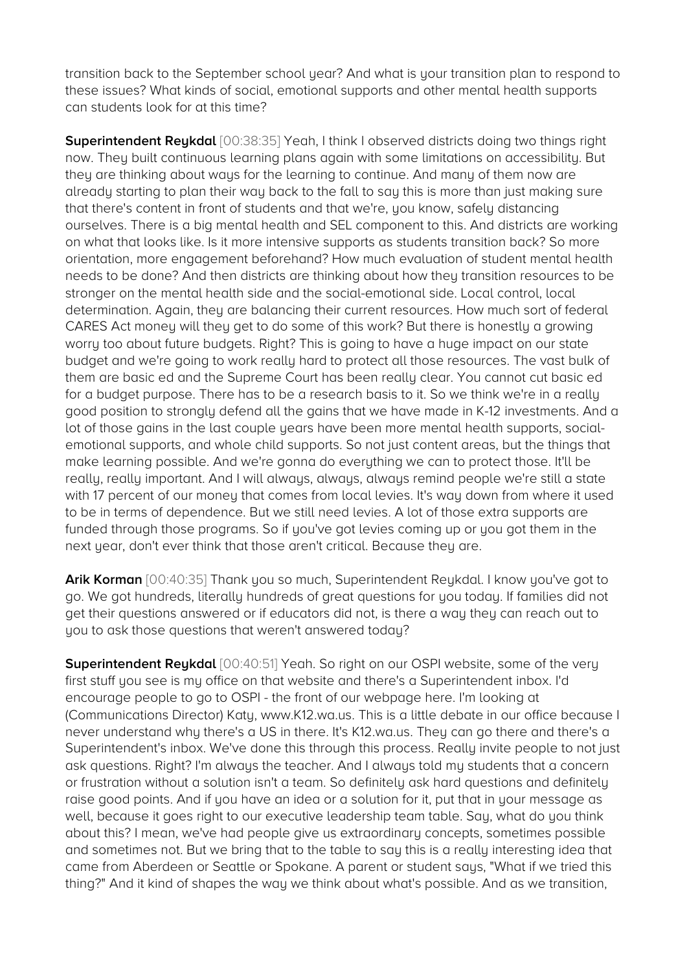transition back to the September school year? And what is your transition plan to respond to these issues? What kinds of social, emotional supports and other mental health supports can students look for at this time?

**Superintendent Reykdal** [00:38:35] Yeah, I think I observed districts doing two things right now. They built continuous learning plans again with some limitations on accessibility. But they are thinking about ways for the learning to continue. And many of them now are already starting to plan their way back to the fall to say this is more than just making sure that there's content in front of students and that we're, you know, safely distancing ourselves. There is a big mental health and SEL component to this. And districts are working on what that looks like. Is it more intensive supports as students transition back? So more orientation, more engagement beforehand? How much evaluation of student mental health needs to be done? And then districts are thinking about how they transition resources to be stronger on the mental health side and the social-emotional side. Local control, local determination. Again, they are balancing their current resources. How much sort of federal CARES Act money will they get to do some of this work? But there is honestly a growing worry too about future budgets. Right? This is going to have a huge impact on our state budget and we're going to work really hard to protect all those resources. The vast bulk of them are basic ed and the Supreme Court has been really clear. You cannot cut basic ed for a budget purpose. There has to be a research basis to it. So we think we're in a really good position to strongly defend all the gains that we have made in K-12 investments. And a lot of those gains in the last couple years have been more mental health supports, socialemotional supports, and whole child supports. So not just content areas, but the things that make learning possible. And we're gonna do everything we can to protect those. It'll be really, really important. And I will always, always, always remind people we're still a state with 17 percent of our money that comes from local levies. It's way down from where it used to be in terms of dependence. But we still need levies. A lot of those extra supports are funded through those programs. So if you've got levies coming up or you got them in the next year, don't ever think that those aren't critical. Because they are.

**Arik Korman** [00:40:35] Thank you so much, Superintendent Reykdal. I know you've got to go. We got hundreds, literally hundreds of great questions for you today. If families did not get their questions answered or if educators did not, is there a way they can reach out to you to ask those questions that weren't answered today?

**Superintendent Reukdal** [00:40:51] Yeah. So right on our OSPI website, some of the very first stuff you see is my office on that website and there's a Superintendent inbox. I'd encourage people to go to OSPI - the front of our webpage here. I'm looking at (Communications Director) Katy, www.K12.wa.us. This is a little debate in our office because I never understand why there's a US in there. It's K12.wa.us. They can go there and there's a Superintendent's inbox. We've done this through this process. Really invite people to not just ask questions. Right? I'm always the teacher. And I always told my students that a concern or frustration without a solution isn't a team. So definitely ask hard questions and definitely raise good points. And if you have an idea or a solution for it, put that in your message as well, because it goes right to our executive leadership team table. Say, what do you think about this? I mean, we've had people give us extraordinary concepts, sometimes possible and sometimes not. But we bring that to the table to say this is a really interesting idea that came from Aberdeen or Seattle or Spokane. A parent or student says, "What if we tried this thing?" And it kind of shapes the way we think about what's possible. And as we transition,